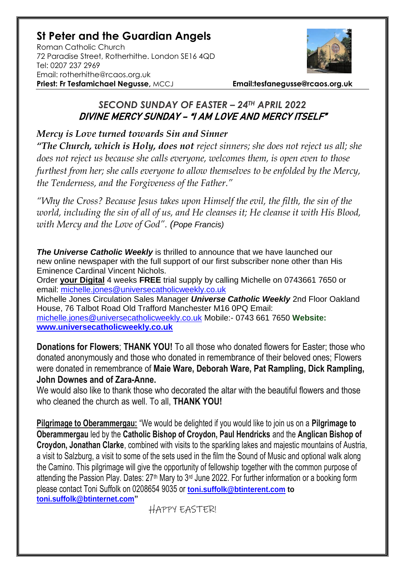# **St Peter and the Guardian Angels**

Roman Catholic Church 72 Paradise Street, Rotherhithe. London SE16 4QD [Tel: 0207](tel:0207) 237 2969 Email: rotherhithe@rcaos.org.uk **Priest: Fr Tesfamichael Negusse,** MCCJ **Email:tesfanegusse@rcaos.org.uk**



## *SECOND SUNDAY OF EASTER – 24TH APRIL 2022* DIVINE MERCY SUNDAY – "I AM LOVE AND MERCY ITSELF"

## *Mercy is Love turned towards Sin and Sinner*

*"The Church, which is Holy, does not reject sinners; she does not reject us all; she does not reject us because she calls everyone, welcomes them, is open even to those furthest from her; she calls everyone to allow themselves to be enfolded by the Mercy, the Tenderness, and the Forgiveness of the Father."* 

*"Why the Cross? Because Jesus takes upon Himself the evil, the filth, the sin of the world, including the sin of all of us, and He cleanses it; He cleanse it with His Blood, with Mercy and the Love of God". (Pope Francis)*

**The Universe Catholic Weekly** is thrilled to announce that we have launched our new online newspaper with the full support of our first subscriber none other than His Eminence Cardinal Vincent Nichols.

Order **your Digital** 4 weeks **FREE** trial supply by calling Michelle on 0743661 7650 or email: [michelle.jones@universecatholicweekly.co.uk](mailto:michelle.jones@universecatholicweekly.co.uk)

Michelle Jones Circulation Sales Manager *Universe Catholic Weekly* 2nd Floor Oakland House, 76 Talbot Road Old Trafford Manchester M16 0PQ Email: [michelle.jones@universecatholicweekly.co.uk](mailto:michelle.jones@universecatholicweekly.co.uk) Mobile:- 0743 661 7650 **Website: [www.universecatholicweekly.co.uk](http://www.universecatholicweekly.co.uk/)**

**Donations for Flowers**; **THANK YOU!** To all those who donated flowers for Easter; those who donated anonymously and those who donated in remembrance of their beloved ones; Flowers were donated in remembrance of **Maie Ware, Deborah Ware, Pat Rampling, Dick Rampling, John Downes and of Zara-Anne.**

We would also like to thank those who decorated the altar with the beautiful flowers and those who cleaned the church as well. To all, **THANK YOU!**

**Pilgrimage to Oberammergau:** "We would be delighted if you would like to join us on a **Pilgrimage to Oberammergau** led by the **Catholic Bishop of Croydon, Paul Hendricks** and the **Anglican Bishop of Croydon, Jonathan Clarke**, combined with visits to the sparkling lakes and majestic mountains of Austria, a visit to Salzburg, a visit to some of the sets used in the film the Sound of Music and optional walk along the Camino. This pilgrimage will give the opportunity of fellowship together with the common purpose of attending the Passion Play. Dates: 27<sup>th</sup> Mary to 3<sup>rd</sup> June 2022. For further information or a booking form please contact Toni Suffolk on 0208654 9035 or **[toni.suffolk@btinterent.com](mailto:toni.suffolk@btinterent.com) to [toni.suffolk@btinternet.com"](mailto:toni.suffolk@btinternet.com)** 

HAPPY EASTER!